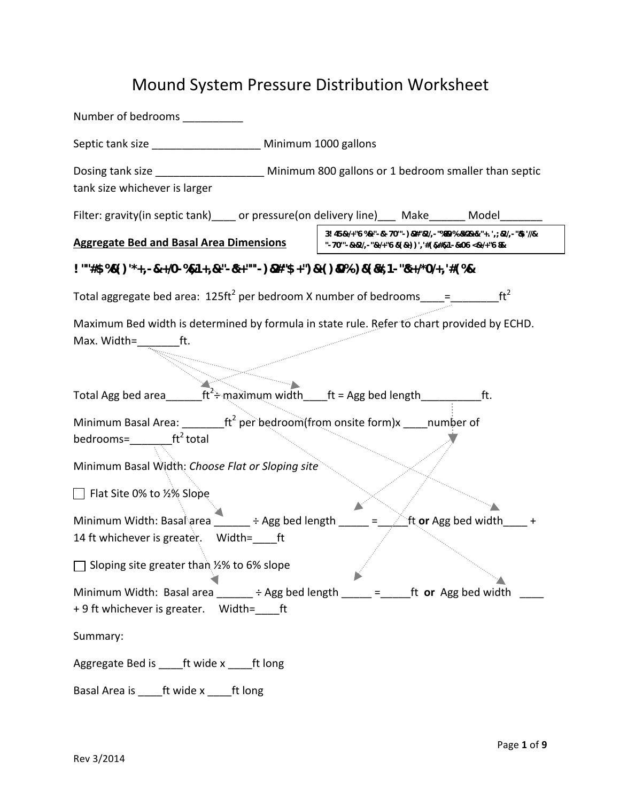# Mound System Pressure Distribution Worksheet

| Number of bedrooms                                                                                                                                                                                                                                                                                                                                                                                                                                                                                                                                                                                                                                                                                                                                                                                                                                                                                                                                                                                                                                                                                                                                                                                                                                                                                                                                                                                                                                                                                                                                               |                                                      |  |                                                                                                              |
|------------------------------------------------------------------------------------------------------------------------------------------------------------------------------------------------------------------------------------------------------------------------------------------------------------------------------------------------------------------------------------------------------------------------------------------------------------------------------------------------------------------------------------------------------------------------------------------------------------------------------------------------------------------------------------------------------------------------------------------------------------------------------------------------------------------------------------------------------------------------------------------------------------------------------------------------------------------------------------------------------------------------------------------------------------------------------------------------------------------------------------------------------------------------------------------------------------------------------------------------------------------------------------------------------------------------------------------------------------------------------------------------------------------------------------------------------------------------------------------------------------------------------------------------------------------|------------------------------------------------------|--|--------------------------------------------------------------------------------------------------------------|
| Septic tank size _____________________ Minimum 1000 gallons                                                                                                                                                                                                                                                                                                                                                                                                                                                                                                                                                                                                                                                                                                                                                                                                                                                                                                                                                                                                                                                                                                                                                                                                                                                                                                                                                                                                                                                                                                      |                                                      |  |                                                                                                              |
| Dosing tank size _____________________ Minimum 800 gallons or 1 bedroom smaller than septic<br>tank size whichever is larger                                                                                                                                                                                                                                                                                                                                                                                                                                                                                                                                                                                                                                                                                                                                                                                                                                                                                                                                                                                                                                                                                                                                                                                                                                                                                                                                                                                                                                     |                                                      |  |                                                                                                              |
| Filter: gravity(in septic tank) or pressure(on delivery line) Make Model                                                                                                                                                                                                                                                                                                                                                                                                                                                                                                                                                                                                                                                                                                                                                                                                                                                                                                                                                                                                                                                                                                                                                                                                                                                                                                                                                                                                                                                                                         |                                                      |  |                                                                                                              |
| <b>Aggregate Bed and Basal Area Dimensions</b>                                                                                                                                                                                                                                                                                                                                                                                                                                                                                                                                                                                                                                                                                                                                                                                                                                                                                                                                                                                                                                                                                                                                                                                                                                                                                                                                                                                                                                                                                                                   | "-70'"-&+&'/,-"&+/+"6&'(&+))','#(&,#&,1-&<06<&+/+"6& |  | 3! $45\ell$ +/+"6%+"- $\ell$ "-70"-) $\ell$ 2#" $\ell$ 2'/,-"%8&9%-&+&: "+. ',; $\ell$ 2'/,-" $\ell$ \$'//& |
| $\frac{1}{2}$ ""#\$%&"()'*+,-&. +/O-%&,1+,&+"-&*+""'-)&#"\$+")&+()&O%-)&"(&#,1-"&*+/*O/+,'#(%&</td><td></td><td></td><td></td></tr><tr><td>Total aggregate bed area: <math>125 \text{ft}^2</math> per bedroom X number of bedrooms ____= _______</td><td></td><td></td><td>ft<sup>2</sup></td></tr><tr><td>Maximum Bed width is determined by formula in state rule. Refer to chart provided by ECHD.<br>Max. Width=</td><td></td><td></td><td></td></tr><tr><td>Total Agg bed area________ft<sup>2</sup>÷ maximum width____ft = Agg bed length______________ft.</td><td></td><td></td><td></td></tr><tr><td>Minimum Basal Area: ________ft<sup>2</sup> per bedroom(from onsite form)x _____ number of<br>bedrooms=<math>f^2</math> total<br>Minimum Basal Width: Choose Flat or Sloping site<br><math>\Box</math> Flat Site 0% to ½% Slope<br>Minimum Width: Basal area ______ ÷ Agg bed length<br>14 ft whichever is greater. Width= ft<br><math>\Box</math> Sloping site greater than <math>\frac{1}{2}</math>% to 6% slope<br>Minimum Width: Basal area <math>\_\_\_\_</math> ÷ Agg bed length <math>\_\_\_\_</math> = <math>\_\_</math>ft or Agg bed width</td><td></td><td>ft or Agg bed width</td><td></td></tr><tr><td>+ 9 ft whichever is greater. Width= ft</td><td></td><td></td><td></td></tr><tr><td>Summary:</td><td></td><td></td><td></td></tr><tr><td>Aggregate Bed is _____ft wide x _____ft long</td><td></td><td></td><td></td></tr><tr><td>Basal Area is ______ft wide x ______ft long</td><td></td><td></td><td></td></tr></tbody></table> |                                                      |  |                                                                                                              |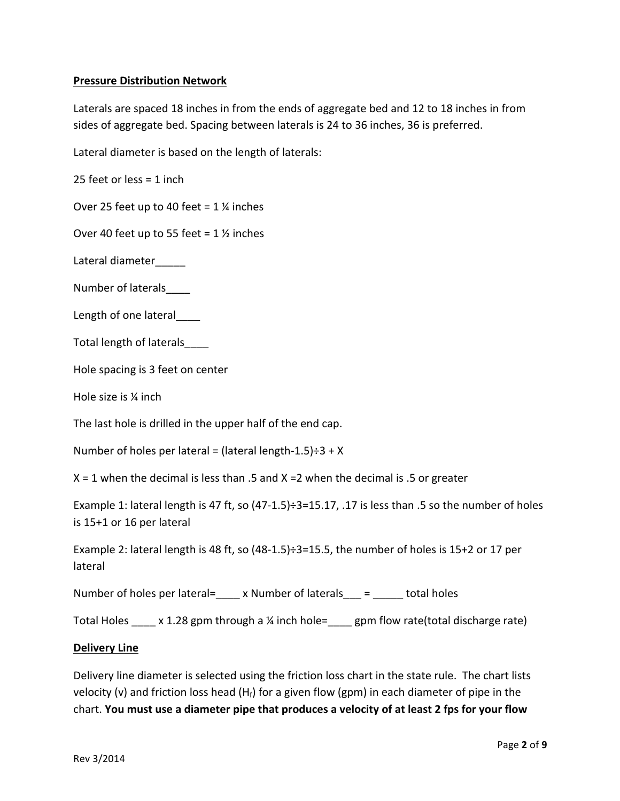# **Pressure Distribution Network**

Laterals are spaced 18 inches in from the ends of aggregate bed and 12 to 18 inches in from sides of aggregate bed. Spacing between laterals is 24 to 36 inches, 36 is preferred.

Lateral diameter is based on the length of laterals:

25 feet or less =  $1$  inch

Over 25 feet up to 40 feet =  $1\frac{1}{2}$  inches

Over 40 feet up to 55 feet =  $1\frac{1}{2}$  inches

Lateral diameter

Number of laterals

Length of one lateral

Total length of laterals

Hole spacing is 3 feet on center

Hole size is  $\frac{1}{4}$  inch

The last hole is drilled in the upper half of the end cap.

Number of holes per lateral = (lateral length-1.5) $\div$ 3 + X

 $X = 1$  when the decimal is less than .5 and  $X = 2$  when the decimal is .5 or greater

Example 1: lateral length is 47 ft, so  $(47-1.5)$  ÷3=15.17, .17 is less than .5 so the number of holes is 15+1 or 16 per lateral

Example 2: lateral length is 48 ft, so  $(48-1.5)$ :  $3=15.5$ , the number of holes is 15+2 or 17 per lateral

Number of holes per lateral= $\_\_\ x$  Number of laterals $\_\_\ = \_\_\_\ \$ total holes

Total Holes  $\quad$  x 1.28 gpm through a  $\frac{1}{4}$  inch hole= gpm flow rate(total discharge rate)

#### **Delivery Line**

Delivery line diameter is selected using the friction loss chart in the state rule. The chart lists velocity (v) and friction loss head  $(H_f)$  for a given flow (gpm) in each diameter of pipe in the chart. You must use a diameter pipe that produces a velocity of at least 2 fps for your flow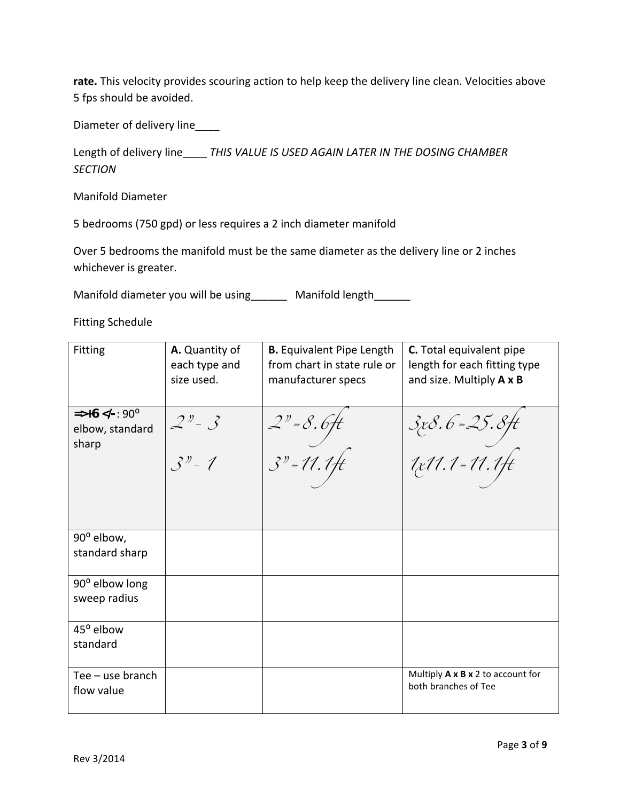rate. This velocity provides scouring action to help keep the delivery line clean. Velocities above 5 fps should be avoided.

Diameter of delivery line\_\_\_\_

Length of delivery line\_\_\_\_ THIS VALUE IS USED AGAIN LATER IN THE DOSING CHAMBER *SECTION*

Manifold Diameter

5 bedrooms (750 gpd) or less requires a 2 inch diameter manifold

Over 5 bedrooms the manifold must be the same diameter as the delivery line or 2 inches whichever is greater.

Manifold diameter you will be using The Manifold length

Fitting Schedule

| <b>Fitting</b>                                      | A. Quantity of<br>each type and<br>size used. | <b>B.</b> Equivalent Pipe Length<br>from chart in state rule or<br>manufacturer specs | <b>C.</b> Total equivalent pipe<br>length for each fitting type<br>and size. Multiply A x B |
|-----------------------------------------------------|-----------------------------------------------|---------------------------------------------------------------------------------------|---------------------------------------------------------------------------------------------|
| $\Rightarrow +6$ -: 90°<br elbow, standard<br>sharp | $2^{y} - 3$<br>$3n - 1$                       | $2" = 8.6$ ft<br>$3" = 11.1$ ft                                                       | 3 x 8 . 6 = 25 . 8 ft<br>1 x 11 . 1 = 11 . 1 ft                                             |
|                                                     |                                               |                                                                                       |                                                                                             |
| 90° elbow,<br>standard sharp                        |                                               |                                                                                       |                                                                                             |
| 90° elbow long<br>sweep radius                      |                                               |                                                                                       |                                                                                             |
| 45° elbow<br>standard                               |                                               |                                                                                       |                                                                                             |
| Tee - use branch<br>flow value                      |                                               |                                                                                       | Multiply A x B x 2 to account for<br>both branches of Tee                                   |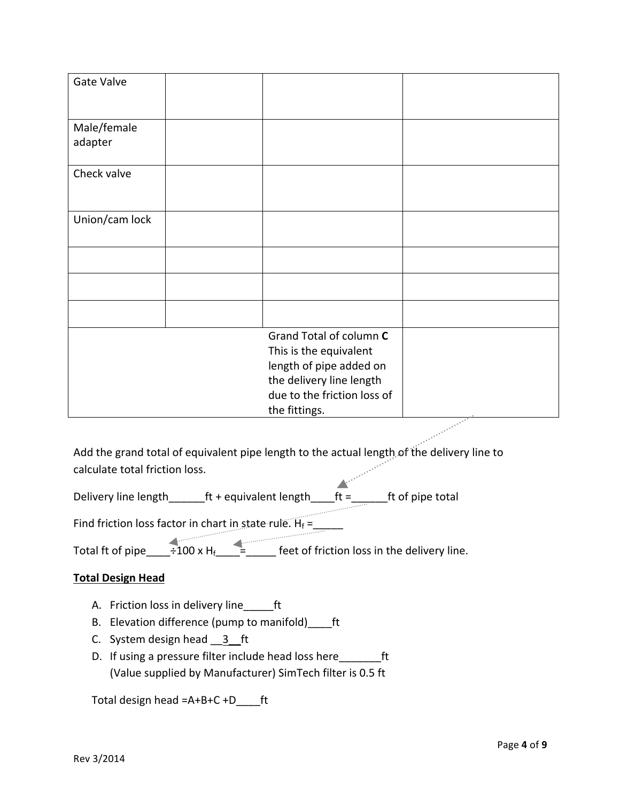| Gate Valve             |                                                                                                                                         |        |
|------------------------|-----------------------------------------------------------------------------------------------------------------------------------------|--------|
| Male/female<br>adapter |                                                                                                                                         |        |
| Check valve            |                                                                                                                                         |        |
| Union/cam lock         |                                                                                                                                         |        |
|                        |                                                                                                                                         |        |
|                        |                                                                                                                                         |        |
|                        |                                                                                                                                         |        |
|                        | Grand Total of column C<br>This is the equivalent<br>length of pipe added on<br>the delivery line length<br>due to the friction loss of |        |
|                        | the fittings.                                                                                                                           | $\sim$ |

Add the grand total of equivalent pipe length to the actual length of the delivery line to calculate total friction loss.

 $\triangle$ Delivery line length  $f$ t + equivalent length  $f$ t =  $f$ t of pipe total

Find friction loss factor in chart in state rule.  $H_f =$  \_\_\_\_\_\_

Total ft of pipe\_\_\_\_÷100 x Hf\_\_\_\_=\_\_\_\_\_ feet of friction loss in the delivery line.

# **Total Design Head**

- A. Friction loss in delivery line\_\_\_\_\_ft
- B. Elevation difference (pump to manifold) \_\_\_\_ft
- C. System design head 3 ft
- D. If using a pressure filter include head loss here \_\_\_\_\_\_\_ft (Value supplied by Manufacturer) SimTech filter is 0.5 ft

Total design head  $=A+B+C+D$  ft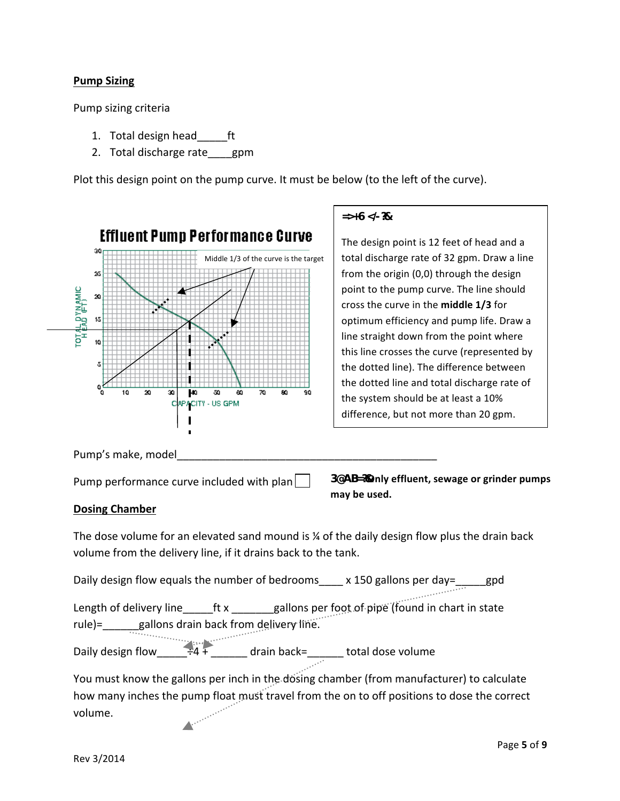# **Pump Sizing**

Pump sizing criteria

- 1. Total design head ft
- 2. Total discharge rate gpm

Plot this design point on the pump curve. It must be below (to the left of the curve).



## $\Rightarrow +6 < -28$

The design point is 12 feet of head and a total discharge rate of 32 gpm. Draw a line from the origin  $(0,0)$  through the design point to the pump curve. The line should cross the curve in the **middle 1/3** for optimum efficiency and pump life. Draw a line straight down from the point where this line crosses the curve (represented by the dotted line). The difference between the dotted line and total discharge rate of the system should be at least a 10% difference, but not more than 20 gpm.

Pump's make, model

Pump performance curve included with plan  $\vert \ \vert$ 

▲

3@AB=?**%Only effluent, sewage or grinder pumps** may be used.

#### **Dosing Chamber**

The dose volume for an elevated sand mound is  $\frac{1}{4}$  of the daily design flow plus the drain back volume from the delivery line, if it drains back to the tank.

Daily design flow equals the number of bedrooms  $\frac{150 \text{ gallons per day}}{150 \text{ gallons per day}}$  gpd

Length of delivery line \_\_\_\_\_ft x \_\_\_\_\_\_gallons per foot of pipe (found in chart in state rule)=\_\_\_\_\_\_gallons drain back from delivery line.

Daily design flow\_\_\_\_\_\_\_\_<sup>+4</sup> + \_\_\_\_\_\_\_ drain back=\_\_\_\_\_\_\_ total dose volume

You must know the gallons per inch in the dosing chamber (from manufacturer) to calculate how many inches the pump float must travel from the on to off positions to dose the correct volume.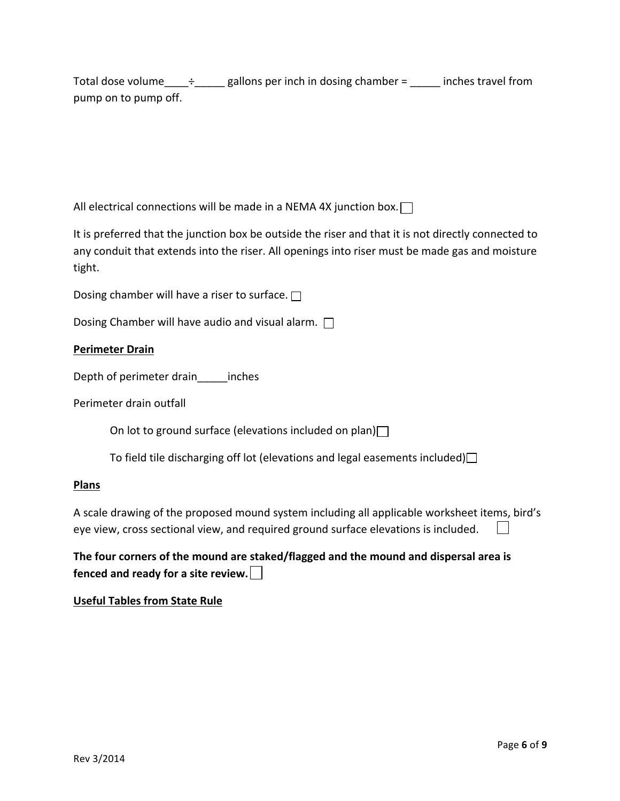Total dose volume\_\_\_\_ $\div$ \_\_\_\_\_ gallons per inch in dosing chamber = \_\_\_\_\_ inches travel from pump on to pump off.

All electrical connections will be made in a NEMA 4X junction box.  $\Box$ 

It is preferred that the junction box be outside the riser and that it is not directly connected to any conduit that extends into the riser. All openings into riser must be made gas and moisture tight.

Dosing chamber will have a riser to surface.  $\Box$ 

Dosing Chamber will have audio and visual alarm.  $\Box$ 

# **Perimeter Drain**

Depth of perimeter drain\_\_\_\_\_\_inches

Perimeter drain outfall

On lot to ground surface (elevations included on plan) $\Box$ 

To field tile discharging off lot (elevations and legal easements included) $\Box$ 

## **Plans**

A scale drawing of the proposed mound system including all applicable worksheet items, bird's eye view, cross sectional view, and required ground surface elevations is included.

The four corners of the mound are staked/flagged and the mound and dispersal area is **fenced and ready for a site review.** 

# **Useful Tables from State Rule**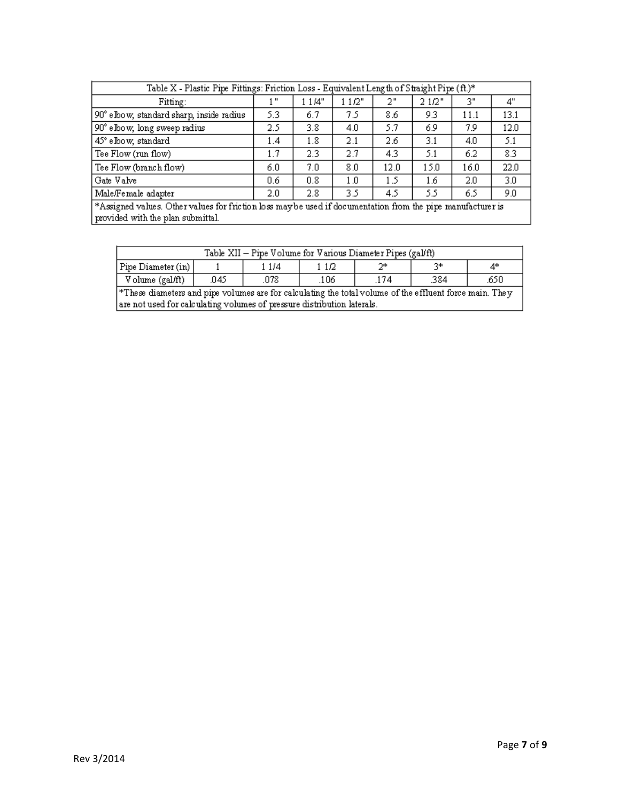| Table X - Plastic Pipe Fittings: Friction Loss - Equivalent Length of Straight Pipe (ft.)*                                                       |     |         |       |      |        |      |      |  |  |
|--------------------------------------------------------------------------------------------------------------------------------------------------|-----|---------|-------|------|--------|------|------|--|--|
| Fitting:                                                                                                                                         | ш   | 1 1 /4" | 11/2" | 2"   | 2 1/2" | 3"   | 4"   |  |  |
| 90° elbow, standard sharp, inside radius                                                                                                         | 5.3 | 6.7     | 75    | 8.6  | 9.3    | 11.1 | 13.1 |  |  |
| 90° elbow, long sweep radius                                                                                                                     | 2.5 | 3.8     | 4.0   | 5.7  | 69     | 7.9  | 12.0 |  |  |
| 45° elbow, standard                                                                                                                              | 1.4 | 1.8     | 2.1   | 2.6  | 3.1    | 4.0  | 5.1  |  |  |
| Tee Flow (run flow)                                                                                                                              | 1.7 | 2.3     | 2.7   | 4.3  | 5.1    | 6.2  | 8.3  |  |  |
| Tee Flow (branch flow)                                                                                                                           | 6.0 | 7.0     | 8.0   | 12.0 | 15.0   | 16.0 | 22.0 |  |  |
| Gate Valve                                                                                                                                       | 0.6 | 0.8     | 1.0   | 1.5  | 1.6    | 2.0  | 3.0  |  |  |
| Male/Female adapter<br>2.8<br>5.5<br>9.0<br>3.5<br>6.5<br>2.0<br>4.5                                                                             |     |         |       |      |        |      |      |  |  |
| *Assigned values. Other values for friction loss may be used if documentation from the pipe manufacturer is<br>provided with the plan submittal. |     |         |       |      |        |      |      |  |  |

| Table XII – Pipe Volume for Various Diameter Pipes (gal/ft) |                       |     |     |     |      |      |  |  |
|-------------------------------------------------------------|-----------------------|-----|-----|-----|------|------|--|--|
| Pipe Diameter (in)                                          | 2*<br>つ米<br>1/4<br>4* |     |     |     |      |      |  |  |
| Volume (gal/ft)                                             | .045                  | 078 | 106 | 174 | .384 | .650 |  |  |

\*These diameters and pipe volumes are for calculating the total volume of the effluent force main. They are not used for calculating volumes of pressure distribution laterals.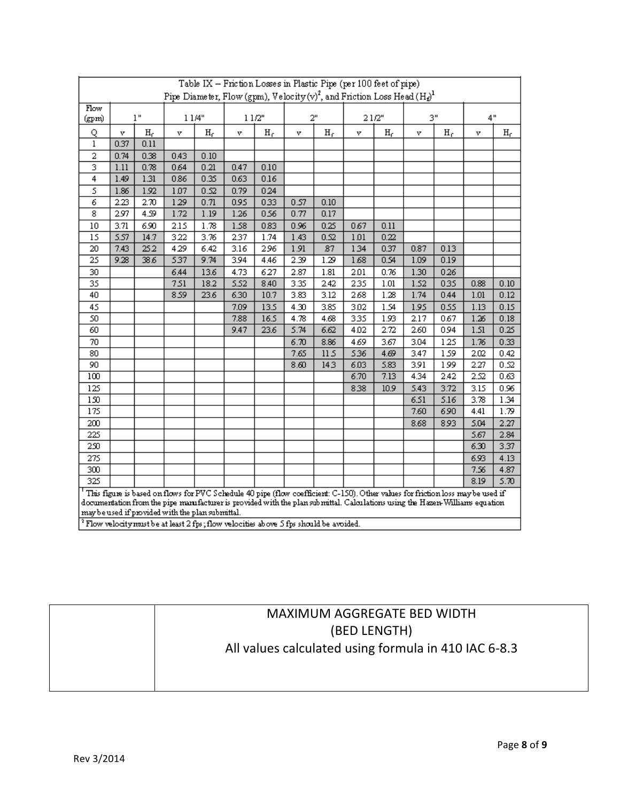| Table IX - Friction Losses in Plastic Pipe (per 100 feet of pipe)                                            |                                                                                                                                                                                   |       |                                                                                                                                 |       |      |                |      |                |      |             |      |                |      |       |
|--------------------------------------------------------------------------------------------------------------|-----------------------------------------------------------------------------------------------------------------------------------------------------------------------------------|-------|---------------------------------------------------------------------------------------------------------------------------------|-------|------|----------------|------|----------------|------|-------------|------|----------------|------|-------|
| Pipe Diameter, Flow (gpm), Velocity (v) <sup>2</sup> , and Friction Loss Head (H <sub>d</sub> ) <sup>1</sup> |                                                                                                                                                                                   |       |                                                                                                                                 |       |      |                |      |                |      |             |      |                |      |       |
| Flow                                                                                                         | 1"<br>11/4"                                                                                                                                                                       |       | 11/2"                                                                                                                           |       |      | 2"             |      | 21/2"          |      | 3"          |      | 4"             |      |       |
| (gpm)                                                                                                        |                                                                                                                                                                                   |       |                                                                                                                                 |       |      |                |      |                |      |             |      |                |      |       |
| Q                                                                                                            | v                                                                                                                                                                                 | $H_r$ | v                                                                                                                               | $H_r$ | v    | H <sub>f</sub> | v    | H <sub>f</sub> | v    | $H_{\rm f}$ | ν    | H <sub>f</sub> | ν    | $H_r$ |
| 1                                                                                                            | 0.37                                                                                                                                                                              | 0.11  |                                                                                                                                 |       |      |                |      |                |      |             |      |                |      |       |
| 2                                                                                                            | 0.74                                                                                                                                                                              | 0.38  | 0.43                                                                                                                            | 0.10  |      |                |      |                |      |             |      |                |      |       |
| 3                                                                                                            | 1.11                                                                                                                                                                              | 0.78  | 0.64                                                                                                                            | 0.21  | 0.47 | 0.10           |      |                |      |             |      |                |      |       |
| 4                                                                                                            | 1.49                                                                                                                                                                              | 1.31  | 0.86                                                                                                                            | 0.35  | 0.63 | 0.16           |      |                |      |             |      |                |      |       |
| 5                                                                                                            | 1.86                                                                                                                                                                              | 1.92  | 1.07                                                                                                                            | 0.52  | 0.79 | 0.24           |      |                |      |             |      |                |      |       |
| 6                                                                                                            | 2.23                                                                                                                                                                              | 2.70  | 129                                                                                                                             | 0.71  | 0.95 | 033            | 0.57 | 0.10           |      |             |      |                |      |       |
| 8                                                                                                            | 2.97                                                                                                                                                                              | 4.59  | 1.72                                                                                                                            | 1.19  | 1.26 | 0.56           | 0.77 | 0.17           |      |             |      |                |      |       |
| 10                                                                                                           | 3.71                                                                                                                                                                              | 6.90  | 2.15                                                                                                                            | 1.78  | 1.58 | 0.83           | 0.96 | 0.25           | 067  | 0.11        |      |                |      |       |
| 15                                                                                                           | 5.57                                                                                                                                                                              | 14.7  | 322                                                                                                                             | 3.76  | 2.37 | 1.74           | 1.43 | 0.52           | 1.01 | 0.22        |      |                |      |       |
| 20                                                                                                           | 7.43                                                                                                                                                                              | 252   | 429                                                                                                                             | 6.42  | 3.16 | 296            | 1.91 | 87             | 134  | 0.37        | 0.87 | 0.13           |      |       |
| 25                                                                                                           | 9.28                                                                                                                                                                              | 386   | 537                                                                                                                             | 9.74  | 3.94 | 4.46           | 2.39 | 1.29           | 168  | 0.54        | 1.09 | 0.19           |      |       |
| 30                                                                                                           |                                                                                                                                                                                   |       | 6.44                                                                                                                            | 13.6  | 4.73 | 627            | 2.87 | 1.81           | 2.01 | 0.76        | 1.30 | 026            |      |       |
| 35                                                                                                           |                                                                                                                                                                                   |       | 7.51                                                                                                                            | 18.2  | 5.52 | 8.40           | 3.35 | 2.42           | 235  | 1.01        | 1.52 | 035            | 0.88 | 0.10  |
| 40                                                                                                           |                                                                                                                                                                                   |       | 8.59                                                                                                                            | 23.6  | 6.30 | 10.7           | 3.83 | 3.12           | 268  | 1.28        | 1.74 | 0.44           | 1.01 | 0.12  |
| 45                                                                                                           |                                                                                                                                                                                   |       |                                                                                                                                 |       | 7.09 | 13.5           | 4.30 | 3.85           | 3.02 | 1.54        | 1.95 | 0.55           | 1.13 | 0.15  |
| 50                                                                                                           |                                                                                                                                                                                   |       |                                                                                                                                 |       | 7.88 | 16.5           | 4.78 | 4.68           | 335  | 1.93        | 2.17 | 0.67           | 1.26 | 0.18  |
| 60                                                                                                           |                                                                                                                                                                                   |       |                                                                                                                                 |       | 9.47 | 23.6           | 5.74 | 6.62           | 4.02 | 2.72        | 2.60 | 094            | 1.51 | 0.25  |
| 70                                                                                                           |                                                                                                                                                                                   |       |                                                                                                                                 |       |      |                | 6.70 | 8.86           | 469  | 3.67        | 3.04 | 125            | 1.76 | 0.33  |
| 80                                                                                                           |                                                                                                                                                                                   |       |                                                                                                                                 |       |      |                | 7.65 | 115            | 536  | 4.69        | 3.47 | 1.59           | 2.02 | 0.42  |
| 90                                                                                                           |                                                                                                                                                                                   |       |                                                                                                                                 |       |      |                | 8.60 | 143            | 6.03 | 5.83        | 3.91 | 199            | 2.27 | 0.52  |
| 100                                                                                                          |                                                                                                                                                                                   |       |                                                                                                                                 |       |      |                |      |                | 6.70 | 7.13        | 4.34 | 2.42           | 2.52 | 0.63  |
| 125                                                                                                          |                                                                                                                                                                                   |       |                                                                                                                                 |       |      |                |      |                | 838  | 10.9        | 5.43 | 3.72           | 3.15 | 0.96  |
| 150                                                                                                          |                                                                                                                                                                                   |       |                                                                                                                                 |       |      |                |      |                |      |             | 6.51 | 5.16           | 3.78 | 1.34  |
| 175                                                                                                          |                                                                                                                                                                                   |       |                                                                                                                                 |       |      |                |      |                |      |             | 7.60 | 690            | 4.41 | 1.79  |
| 200                                                                                                          |                                                                                                                                                                                   |       |                                                                                                                                 |       |      |                |      |                |      |             | 8.68 | 893            | 5.04 | 2.27  |
| 225                                                                                                          |                                                                                                                                                                                   |       |                                                                                                                                 |       |      |                |      |                |      |             |      |                | 5.67 | 2.84  |
| 250                                                                                                          |                                                                                                                                                                                   |       |                                                                                                                                 |       |      |                |      |                |      |             |      |                | 6.30 | 3.37  |
| 275                                                                                                          |                                                                                                                                                                                   |       |                                                                                                                                 |       |      |                |      |                |      |             |      |                | 6.93 | 4.13  |
| 300                                                                                                          |                                                                                                                                                                                   |       |                                                                                                                                 |       |      |                |      |                |      |             |      |                | 7.56 | 4.87  |
| 325                                                                                                          |                                                                                                                                                                                   |       |                                                                                                                                 |       |      |                |      |                |      |             |      |                | 8.19 | 5.70  |
|                                                                                                              |                                                                                                                                                                                   |       | This figure is based on flows for PVC Schedule 40 pipe (flow coefficient: C-150). Other values for friction loss may be used if |       |      |                |      |                |      |             |      |                |      |       |
|                                                                                                              |                                                                                                                                                                                   |       |                                                                                                                                 |       |      |                |      |                |      |             |      |                |      |       |
|                                                                                                              | documentation from the pipe manufacturer is provided with the plan sub mittal. Calculations using the Hazen-Williams equation<br>may be used if provided with the plan submittal. |       |                                                                                                                                 |       |      |                |      |                |      |             |      |                |      |       |
| <sup>2</sup> Flow velocity must be at least 2 fps; flow velocities above 5 fps should be avoided.            |                                                                                                                                                                                   |       |                                                                                                                                 |       |      |                |      |                |      |             |      |                |      |       |

# MAXIMUM AGGREGATE BED WIDTH (BED LENGTH) All values calculated using formula in 410 IAC 6-8.3